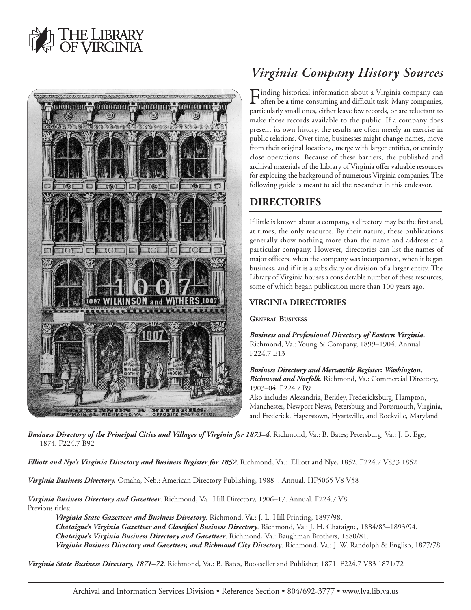



Finding historical information about a Virginia company can<br>often be a time-consuming and difficult task. Many companies, particularly small ones, either leave few records, or are reluctant to make those records available to the public. If a company does present its own history, the results are often merely an exercise in public relations. Over time, businesses might change names, move from their original locations, merge with larger entities, or entirely close operations. Because of these barriers, the published and archival materials of the Library of Virginia offer valuable resources for exploring the background of numerous Virginia companies. The following guide is meant to aid the researcher in this endeavor.

### **DIRECTORIES**

If little is known about a company, a directory may be the first and, at times, the only resource. By their nature, these publications generally show nothing more than the name and address of a particular company. However, directories can list the names of major officers, when the company was incorporated, when it began business, and if it is a subsidiary or division of a larger entity. The Library of Virginia houses a considerable number of these resources, some of which began publication more than 100 years ago.

### **VIRGINIA DIRECTORIES**

#### **GENERAL BUSINESS**

*Business and Professional Directory of Eastern Virginia*. Richmond, Va.: Young & Company, 1899–1904. Annual. F224.7 E13

*Business Directory and Mercantile Register: Washington, Richmond and Norfolk*. Richmond, Va.: Commercial Directory, 1903–04. F224.7 B9

Also includes Alexandria, Berkley, Fredericksburg, Hampton, Manchester, Newport News, Petersburg and Portsmouth, Virginia, and Frederick, Hagerstown, Hyattsville, and Rockville, Maryland.

*Business Directory of the Principal Cities and Villages of Virginia for 1873–4*. Richmond, Va.: B. Bates; Petersburg, Va.: J. B. Ege, 1874. F224.7 B92

*Elliott and Nye's Virginia Directory and Business Register for 1852*. Richmond, Va.: Elliott and Nye, 1852. F224.7 V833 1852

*Virginia Business Directory.* Omaha, Neb.: American Directory Publishing, 1988–. Annual. HF5065 V8 V58

*Virginia Business Directory and Gazetteer*. Richmond, Va.: Hill Directory, 1906–17. Annual. F224.7 V8 Previous titles:

*Virginia State Gazetteer and Business Directory*. Richmond, Va.: J. L. Hill Printing, 1897/98. *Chataigne's Virginia Gazetteer and Classified Business Directory*. Richmond, Va.: J. H. Chataigne, 1884/85–1893/94. *Chataigne's Virginia Business Directory and Gazetteer*. Richmond, Va.: Baughman Brothers, 1880/81. *Virginia Business Directory and Gazetteer, and Richmond City Directory*. Richmond, Va.: J. W. Randolph & English, 1877/78.

*Virginia State Business Directory, 1871–72*. Richmond, Va.: B. Bates, Bookseller and Publisher, 1871. F224.7 V83 1871/72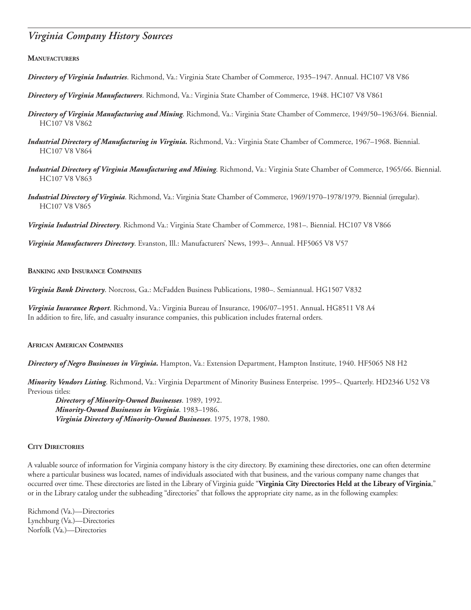**MANUFACTURERS**

*Directory of Virginia Industries*. Richmond, Va.: Virginia State Chamber of Commerce, 1935–1947. Annual. HC107 V8 V86

*Directory of Virginia Manufacturers*. Richmond, Va.: Virginia State Chamber of Commerce, 1948. HC107 V8 V861

- *Directory of Virginia Manufacturing and Mining*. Richmond, Va.: Virginia State Chamber of Commerce, 1949/50–1963/64. Biennial. HC107 V8 V862
- *Industrial Directory of Manufacturing in Virginia.* Richmond, Va.: Virginia State Chamber of Commerce, 1967–1968. Biennial. HC107 V8 V864
- *Industrial Directory of Virginia Manufacturing and Mining*. Richmond, Va.: Virginia State Chamber of Commerce, 1965/66. Biennial. HC107 V8 V863
- *Industrial Directory of Virginia*. Richmond, Va.: Virginia State Chamber of Commerce, 1969/1970–1978/1979. Biennial (irregular). HC107 V8 V865

*Virginia Industrial Directory*. Richmond Va.: Virginia State Chamber of Commerce, 1981–. Biennial. HC107 V8 V866

*Virginia Manufacturers Directory*. Evanston, Ill.: Manufacturers' News, 1993–. Annual. HF5065 V8 V57

**BANKING AND INSURANCE COMPANIES**

*Virginia Bank Directory*. Norcross, Ga.: McFadden Business Publications, 1980–. Semiannual. HG1507 V832

*Virginia Insurance Report*. Richmond, Va.: Virginia Bureau of Insurance, 1906/07–1951. Annual**.** HG8511 V8 A4 In addition to fire, life, and casualty insurance companies, this publication includes fraternal orders.

#### **AFRICAN AMERICAN COMPANIES**

*Directory of Negro Businesses in Virginia***.** Hampton, Va.: Extension Department, Hampton Institute, 1940. HF5065 N8 H2

*Minority Vendors Listing*. Richmond, Va.: Virginia Department of Minority Business Enterprise. 1995–. Quarterly. HD2346 U52 V8 Previous titles:

*Directory of Minority-Owned Businesses*. 1989, 1992. *Minority-Owned Businesses in Virginia*. 1983–1986. *Virginia Directory of Minority-Owned Businesses*. 1975, 1978, 1980.

#### **CITY DIRECTORIES**

A valuable source of information for Virginia company history is the city directory. By examining these directories, one can often determine where a particular business was located, names of individuals associated with that business, and the various company name changes that occurred over time. These directories are listed in the Library of Virginia guide "**Virginia City Directories Held at the Library of Virginia**," or in the Library catalog under the subheading "directories" that follows the appropriate city name, as in the following examples:

Richmond (Va.)—Directories Lynchburg (Va.)—Directories Norfolk (Va.)—Directories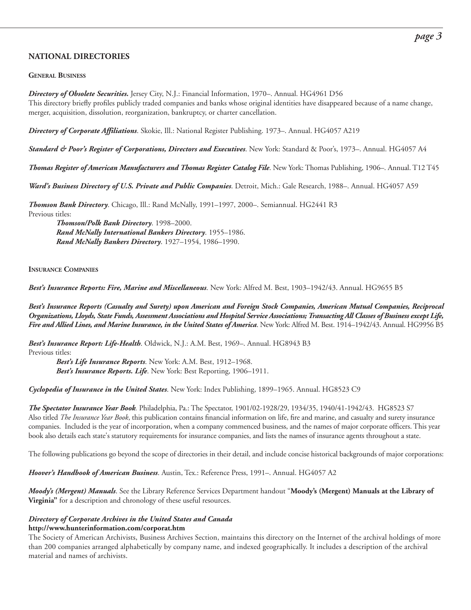### **NATIONAL DIRECTORIES**

#### **GENERAL BUSINESS**

*Directory of Obsolete Securities.* Jersey City, N.J.: Financial Information, 1970–. Annual. HG4961 D56 This directory briefly profiles publicly traded companies and banks whose original identities have disappeared because of a name change, merger, acquisition, dissolution, reorganization, bankruptcy, or charter cancellation.

*Directory of Corporate Affiliations*. Skokie, Ill.: National Register Publishing. 1973–. Annual. HG4057 A219

*Standard & Poor's Register of Corporations, Directors and Executives*. New York: Standard & Poor's, 1973–. Annual. HG4057 A4

*Thomas Register of American Manufacturers and Thomas Register Catalog File*. New York: Thomas Publishing, 1906–. Annual. T12 T45

*Ward's Business Directory of U.S. Private and Public Companies*. Detroit, Mich.: Gale Research, 1988–. Annual. HG4057 A59

*Thomson Bank Directory*. Chicago, Ill.: Rand McNally, 1991–1997, 2000–. Semiannual. HG2441 R3 Previous titles:

*Thomson/Polk Bank Directory*. 1998–2000. *Rand McNally International Bankers Directory*. 1955–1986. *Rand McNally Bankers Directory*. 1927–1954, 1986–1990.

#### **INSURANCE COMPANIES**

*Best's Insurance Reports: Fire, Marine and Miscellaneous*. New York: Alfred M. Best, 1903–1942/43. Annual. HG9655 B5

*Best's Insurance Reports (Casualty and Surety) upon American and Foreign Stock Companies, American Mutual Companies, Reciprocal Organizations, Lloyds, State Funds, Assessment Associations and Hospital Service Associations; Transacting All Classes of Business except Life, Fire and Allied Lines, and Marine Insurance, in the United States of America*. New York: Alfred M. Best. 1914–1942/43. Annual. HG9956 B5

*Best's Insurance Report: Life-Health*. Oldwick, N.J.: A.M. Best, 1969–. Annual. HG8943 B3 Previous titles:

*Best's Life Insurance Reports*. New York: A.M. Best, 1912–1968. *Best's Insurance Reports. Life*. New York: Best Reporting, 1906–1911.

*Cyclopedia of Insurance in the United States*. New York: Index Publishing, 1899–1965. Annual. HG8523 C9

*The Spectator Insurance Year Book.* Philadelphia, Pa.: The Spectator, 1901/02-1928/29, 1934/35, 1940/41-1942/43. HG8523 S7 Also titled *The Insurance Year Book*, this publication contains financial information on life, fire and marine, and casualty and surety insurance companies. Included is the year of incorporation, when a company commenced business, and the names of major corporate officers. This year book also details each state's statutory requirements for insurance companies, and lists the names of insurance agents throughout a state.

The following publications go beyond the scope of directories in their detail, and include concise historical backgrounds of major corporations:

*Hoover's Handbook of American Business*. Austin, Tex.: Reference Press, 1991–. Annual. HG4057 A2

*Moody's (Mergent) Manuals*. See the Library Reference Services Department handout "**Moody's (Mergent) Manuals at the Library of Virginia"** for a description and chronology of these useful resources.

#### *Directory of Corporate Archives in the United States and Canada* **<http://www.hunterinformation.com/corporat.htm>**

The Society of American Archivists, Business Archives Section, maintains this directory on the Internet of the archival holdings of more than 200 companies arranged alphabetically by company name, and indexed geographically. It includes a description of the archival material and names of archivists.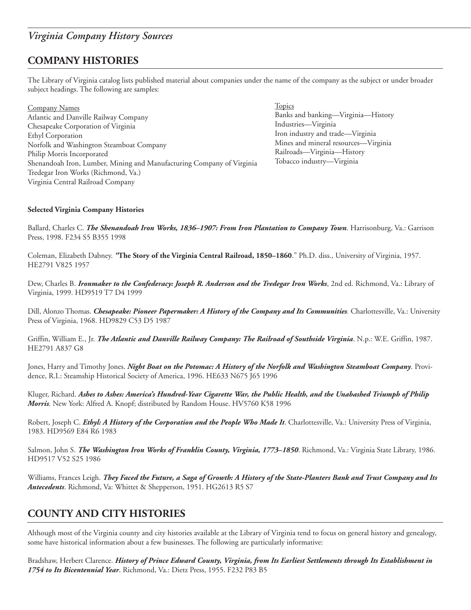# **COMPANY HISTORIES**

The Library of Virginia catalog lists published material about companies under the name of the company as the subject or under broader subject headings. The following are samples:

Company Names Atlantic and Danville Railway Company Chesapeake Corporation of Virginia Ethyl Corporation Norfolk and Washington Steamboat Company Philip Morris Incorporated Shenandoah Iron, Lumber, Mining and Manufacturing Company of Virginia Tredegar Iron Works (Richmond, Va.) Virginia Central Railroad Company

Topics Banks and banking—Virginia—History Industries—Virginia Iron industry and trade—Virginia Mines and mineral resources—Virginia Railroads—Virginia—History Tobacco industry—Virginia

#### **Selected Virginia Company Histories**

Ballard, Charles C. *The Shenandoah Iron Works, 1836–1907: From Iron Plantation to Company Town*. Harrisonburg, Va.: Garrison Press, 1998. F234 S5 B355 1998

Coleman, Elizabeth Dabney. *"***The Story of the Virginia Central Railroad, 1850–1860**." Ph.D. diss., University of Virginia, 1957. HE2791 V825 1957

Dew, Charles B. *Ironmaker to the Confederacy: Joseph R. Anderson and the Tredegar Iron Works*, 2nd ed. Richmond, Va.: Library of Virginia, 1999. HD9519 T7 D4 1999

Dill, Alonzo Thomas. *Chesapeake: Pioneer Papermaker: A History of the Company and Its Communities.* Charlottesville, Va.: University Press of Virginia, 1968. HD9829 C53 D5 1987

Griffin, William E., Jr. *The Atlantic and Danville Railway Company: The Railroad of Southside Virginia*. N.p.: W.E. Griffin, 1987. HE2791 A837 G8

Jones, Harry and Timothy Jones. *Night Boat on the Potomac: A History of the Norfolk and Washington Steamboat Company*. Providence, R.I.: Steamship Historical Society of America, 1996. HE633 N675 J65 1996

Kluger, Richard. *Ashes to Ashes: America's Hundred-Year Cigarette War, the Public Health, and the Unabashed Triumph of Philip Morris*. New York: Alfred A. Knopf; distributed by Random House. HV5760 K58 1996

Robert, Joseph C. *Ethyl: A History of the Corporation and the People Who Made It*. Charlottesville, Va.: University Press of Virginia, 1983. HD9569 E84 R6 1983

Salmon, John S. *The Washington Iron Works of Franklin County, Virginia, 1773–1850*. Richmond, Va.: Virginia State Library, 1986. HD9517 V52 S25 1986

Williams, Frances Leigh. *They Faced the Future, a Saga of Growth: A History of the State-Planters Bank and Trust Company and Its Antecedents*. Richmond, Va: Whittet & Shepperson, 1951. HG2613 R5 S7

# **COUNTY AND CITY HISTORIES**

Although most of the Virginia county and city histories available at the Library of Virginia tend to focus on general history and genealogy, some have historical information about a few businesses. The following are particularly informative:

Bradshaw, Herbert Clarence. *History of Prince Edward County, Virginia, from Its Earliest Settlements through Its Establishment in 1754 to Its Bicentennial Year*. Richmond, Va.: Dietz Press, 1955. F232 P83 B5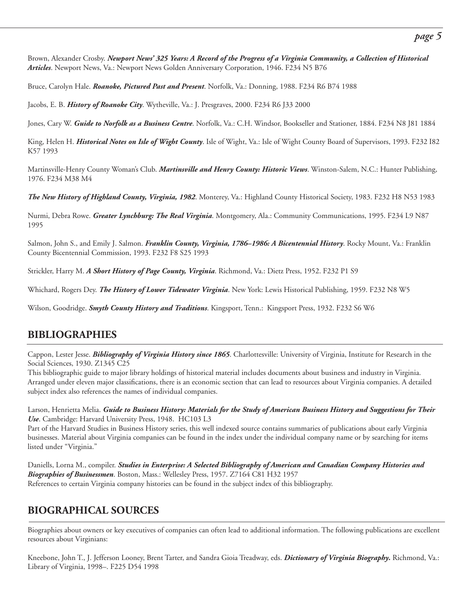Brown, Alexander Crosby. *Newport News' 325 Years: A Record of the Progress of a Virginia Community, a Collection of Historical Articles*. Newport News, Va.: Newport News Golden Anniversary Corporation, 1946. F234 N5 B76

Bruce, Carolyn Hale. *Roanoke, Pictured Past and Present*. Norfolk, Va.: Donning, 1988. F234 R6 B74 1988

Jacobs, E. B. *History of Roanoke City*. Wytheville, Va.: J. Presgraves, 2000. F234 R6 J33 2000

Jones, Cary W. *Guide to Norfolk as a Business Centre*. Norfolk, Va.: C.H. Windsor, Bookseller and Stationer, 1884. F234 N8 J81 1884

King, Helen H. *Historical Notes on Isle of Wight County*. Isle of Wight, Va.: Isle of Wight County Board of Supervisors, 1993. F232 I82 K57 1993

Martinsville-Henry County Woman's Club. *Martinsville and Henry County: Historic Views*. Winston-Salem, N.C.: Hunter Publishing, 1976. F234 M38 M4

*The New History of Highland County, Virginia, 1982*. Monterey, Va.: Highland County Historical Society, 1983. F232 H8 N53 1983

Nurmi, Debra Rowe. *Greater Lynchburg: The Real Virginia*. Montgomery, Ala.: Community Communications, 1995. F234 L9 N87 1995

Salmon, John S., and Emily J. Salmon. *Franklin County, Virginia, 1786–1986: A Bicentennial History*. Rocky Mount, Va.: Franklin County Bicentennial Commission, 1993. F232 F8 S25 1993

Strickler, Harry M. *A Short History of Page County, Virginia*. Richmond, Va.: Dietz Press, 1952. F232 P1 S9

Whichard, Rogers Dey. *The History of Lower Tidewater Virginia*. New York: Lewis Historical Publishing, 1959. F232 N8 W5

Wilson, Goodridge. *Smyth County History and Traditions*. Kingsport, Tenn.: Kingsport Press, 1932. F232 S6 W6

### **BIBLIOGRAPHIES**

Cappon, Lester Jesse. *Bibliography of Virginia History since 1865*. Charlottesville: University of Virginia, Institute for Research in the Social Sciences, 1930. Z1345 C25

This bibliographic guide to major library holdings of historical material includes documents about business and industry in Virginia. Arranged under eleven major classifications, there is an economic section that can lead to resources about Virginia companies. A detailed subject index also references the names of individual companies.

Larson, Henrietta Melia. *Guide to Business History: Materials for the Study of American Business History and Suggestions for Their Use*. Cambridge: Harvard University Press, 1948. HC103 L3

Part of the Harvard Studies in Business History series, this well indexed source contains summaries of publications about early Virginia businesses. Material about Virginia companies can be found in the index under the individual company name or by searching for items listed under "Virginia."

Daniells, Lorna M., compiler. *Studies in Enterprise: A Selected Bibliography of American and Canadian Company Histories and Biographies of Businessmen*. Boston, Mass.: Wellesley Press, 1957. Z7164 C81 H32 1957 References to certain Virginia company histories can be found in the subject index of this bibliography.

# **BIOGRAPHICAL SOURCES**

Biographies about owners or key executives of companies can often lead to additional information. The following publications are excellent resources about Virginians:

Kneebone, John T., J. Jefferson Looney, Brent Tarter, and Sandra Gioia Treadway, eds. *Dictionary of Virginia Biography***.** Richmond, Va.: Library of Virginia, 1998–. F225 D54 1998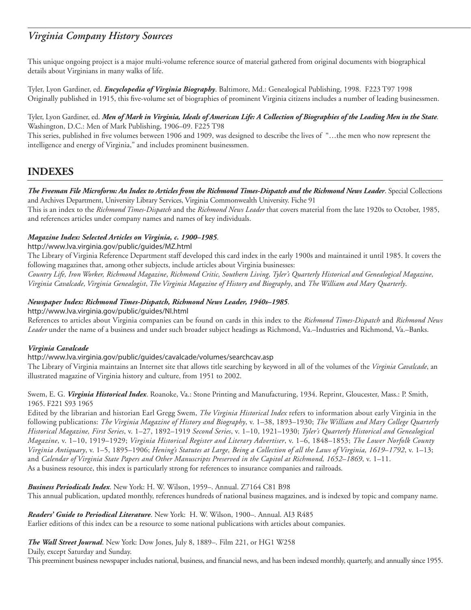This unique ongoing project is a major multi-volume reference source of material gathered from original documents with biographical details about Virginians in many walks of life.

Tyler, Lyon Gardiner, ed. *Encyclopedia of Virginia Biography*. Baltimore, Md.: Genealogical Publishing, 1998. F223 T97 1998 Originally published in 1915, this five-volume set of biographies of prominent Virginia citizens includes a number of leading businessmen.

#### Tyler, Lyon Gardiner, ed. *Men of Mark in Virginia, Ideals of American Life: A Collection of Biographies of the Leading Men in the State*. Washington, D.C.: Men of Mark Publishing, 1906–09. F225 T98

This series, published in five volumes between 1906 and 1909, was designed to describe the lives of "…the men who now represent the intelligence and energy of Virginia," and includes prominent businessmen.

### **INDEXES**

### *The Freeman File Microform: An Index to Articles from the Richmond Times-Dispatch and the Richmond News Leader*. Special Collections

and Archives Department, University Library Services, Virginia Commonwealth University. Fiche 91 This is an index to the *Richmond Times-Dispatch* and the *Richmond News Leader* that covers material from the late 1920s to October, 1985, and references articles under company names and names of key individuals.

#### *Magazine Index: Selected Articles on Virginia, c. 1900–1985*.

**<http://www.lva.virginia.gov/public/guides/MZ.html>**

The Library of Virginia Reference Department staff developed this card index in the early 1900s and maintained it until 1985. It covers the following magazines that, among other subjects, include articles about Virginia businesses:

*Country Life, Iron Worker, Richmond Magazine*, *Richmond Critic, Southern Living, Tyler's Quarterly Historical and Genealogical Magazine*, *Virginia Cavalcade*, *Virginia Genealogist*, *The Virginia Magazine of History and Biography*, and *The William and Mary Quarterly*.

#### *Newspaper Index: Richmond Times-Dispatch, Richmond News Leader, 1940s–1985*.

#### **<http://www.lva.virginia.gov/public/guides/NI.html>**

References to articles about Virginia companies can be found on cards in this index to the *Richmond Times-Dispatch* and *Richmond News Leader* under the name of a business and under such broader subject headings as Richmond, Va.–Industries and Richmond, Va.–Banks.

#### *Virginia Cavalcade*

#### **[http://www.lva.virginia.gov/public/guides/cavalcade/volumes/searchcav](http://www.lva.virginia.gov/public/guides/cavalcade/volumes/searchcav.asp).asp**

The Library of Virginia maintains an Internet site that allows title searching by keyword in all of the volumes of the *Virginia Cavalcade*, an illustrated magazine of Virginia history and culture, from 1951 to 2002.

Swem, E. G. *Virginia Historical Index*. Roanoke, Va.: Stone Printing and Manufacturing, 1934. Reprint, Gloucester, Mass.: P. Smith, 1965. F221 S93 1965

Edited by the librarian and historian Earl Gregg Swem, *The Virginia Historical Index* refers to information about early Virginia in the following publications: *The Virginia Magazine of History and Biography*, v. 1–38, 1893–1930; *The William and Mary College Quarterly Historical Magazine, First Series*, v. 1–27, 1892–1919 *Second Series*, v. 1–10, 1921–1930; *Tyler's Quarterly Historical and Genealogical Magazine*, v. 1–10, 1919–1929; *Virginia Historical Register and Literary Advertiser*, v. 1–6, 1848–1853; *The Lower Norfolk County Virginia Antiquary*, v. 1–5, 1895–1906; *Hening's Statutes at Large, Being a Collection of all the Laws of Virginia, 1619*–*1792*, v. 1–13; and *Calendar of Virginia State Papers and Other Manuscripts Preserved in the Capitol at Richmond, 1652*–*1869*, v. 1–11. As a business resource, this index is particularly strong for references to insurance companies and railroads.

*Business Periodicals Index*. New York: H. W. Wilson, 1959–. Annual. Z7164 C81 B98 This annual publication, updated monthly, references hundreds of national business magazines, and is indexed by topic and company name.

#### *Readers' Guide to Periodical Literature*. New York: H. W. Wilson, 1900–. Annual. AI3 R485

Earlier editions of this index can be a resource to some national publications with articles about companies.

#### *The Wall Street Journal*. New York: Dow Jones, July 8, 1889–. Film 221, or HG1 W258

Daily, except Saturday and Sunday.

This preeminent business newspaper includes national, business, and financial news, and has been indexed monthly, quarterly, and annually since 1955.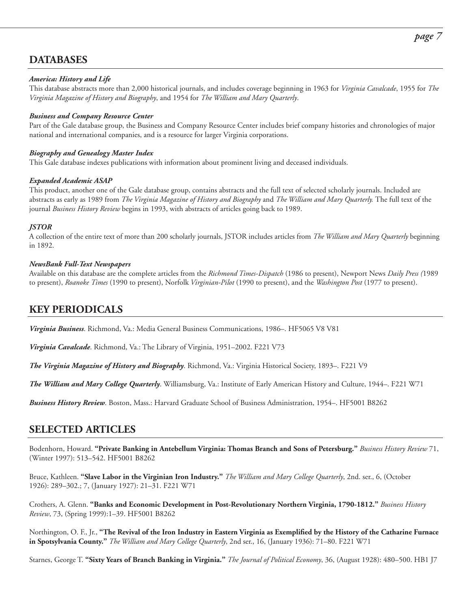# **DATABASES**

#### *America: History and Life*

This database abstracts more than 2,000 historical journals, and includes coverage beginning in 1963 for *Virginia Cavalcade*, 1955 for *The Virginia Magazine of History and Biography*, and 1954 for *The William and Mary Quarterly*.

#### *Business and Company Resource Center*

Part of the Gale database group, the Business and Company Resource Center includes brief company histories and chronologies of major national and international companies, and is a resource for larger Virginia corporations.

#### *Biography and Genealogy Master Index*

This Gale database indexes publications with information about prominent living and deceased individuals.

#### *Expanded Academic ASAP*

This product, another one of the Gale database group, contains abstracts and the full text of selected scholarly journals. Included are abstracts as early as 1989 from *The Virginia Magazine of History and Biography* and *The William and Mary Quarterly.* The full text of the journal *Business History Review* begins in 1993, with abstracts of articles going back to 1989.

#### *JSTOR*

A collection of the entire text of more than 200 scholarly journals, JSTOR includes articles from *The William and Mary Quarterly* beginning in 1892.

#### *NewsBank Full-Text Newspapers*

Available on this database are the complete articles from the *Richmond Times-Dispatch* (1986 to present), Newport News *Daily Press (*1989 to present), *Roanoke Times* (1990 to present), Norfolk *Virginian-Pilot* (1990 to present), and the *Washington Post* (1977 to present).

### **KEY PERIODICALS**

*Virginia Business*. Richmond, Va.: Media General Business Communications, 1986–. HF5065 V8 V81

*Virginia Cavalcade*. Richmond, Va.: The Library of Virginia, 1951–2002. F221 V73

*The Virginia Magazine of History and Biography*. Richmond, Va.: Virginia Historical Society, 1893–. F221 V9

*The William and Mary College Quarterly*. Williamsburg, Va.: Institute of Early American History and Culture, 1944–. F221 W71

*Business History Review*. Boston, Mass.: Harvard Graduate School of Business Administration, 1954–. HF5001 B8262

### **SELECTED ARTICLES**

Bodenhorn, Howard. **"Private Banking in Antebellum Virginia: Thomas Branch and Sons of Petersburg."** *Business History Review* 71, (Winter 1997): 513–542. HF5001 B8262

Bruce, Kathleen. **"Slave Labor in the Virginian Iron Industry."** *The William and Mary College Quarterly*, 2nd. ser., 6, (October 1926): 289–302.; 7, (January 1927): 21–31. F221 W71

Crothers, A. Glenn. **"Banks and Economic Development in Post-Revolutionary Northern Virginia, 1790-1812."** *Business History Review*, 73, (Spring 1999):1–39. HF5001 B8262

Northington, O. F., Jr., **"The Revival of the Iron Industry in Eastern Virginia as Exemplified by the History of the Catharine Furnace in Spotsylvania County."** *The William and Mary College Quarterly*, 2nd ser., 16, (January 1936): 71–80. F221 W71

Starnes, George T. **"Sixty Years of Branch Banking in Virginia."** *The Journal of Political Economy*, 36, (August 1928): 480–500. HB1 J7